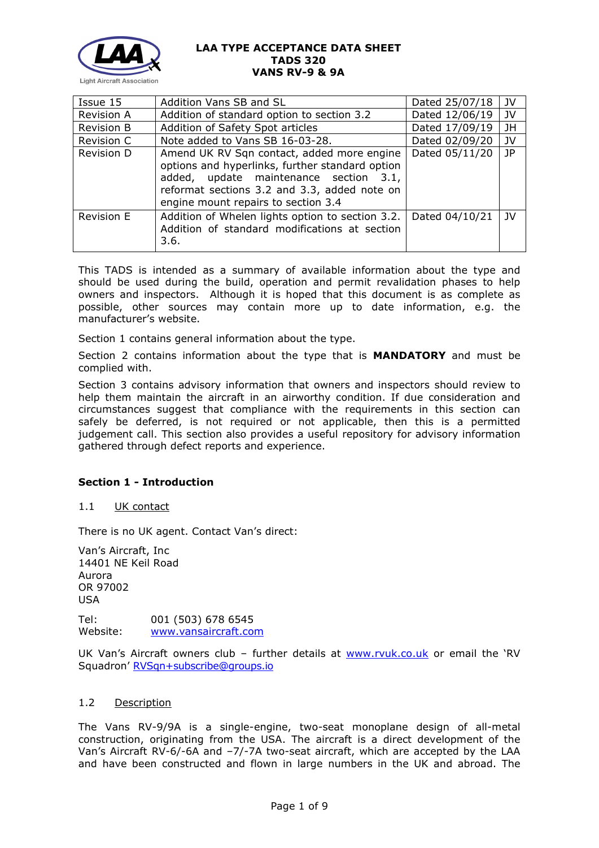

| Issue 15          | Addition Vans SB and SL                                                                                                                                                                                                        | Dated 25/07/18 | JV   |
|-------------------|--------------------------------------------------------------------------------------------------------------------------------------------------------------------------------------------------------------------------------|----------------|------|
| <b>Revision A</b> | Addition of standard option to section 3.2                                                                                                                                                                                     | Dated 12/06/19 | JV   |
| Revision B        | Addition of Safety Spot articles                                                                                                                                                                                               | Dated 17/09/19 | JH   |
| Revision C        | Note added to Vans SB 16-03-28.                                                                                                                                                                                                | Dated 02/09/20 | JV   |
| Revision D        | Amend UK RV Sqn contact, added more engine<br>options and hyperlinks, further standard option<br>added, update maintenance section 3.1,<br>reformat sections 3.2 and 3.3, added note on<br>engine mount repairs to section 3.4 | Dated 05/11/20 | JP   |
| Revision E        | Addition of Whelen lights option to section 3.2.<br>Addition of standard modifications at section<br>3.6.                                                                                                                      | Dated 04/10/21 | - 1V |

This TADS is intended as a summary of available information about the type and should be used during the build, operation and permit revalidation phases to help owners and inspectors. Although it is hoped that this document is as complete as possible, other sources may contain more up to date information, e.g. the manufacturer's website.

Section 1 contains general information about the type.

Section 2 contains information about the type that is **MANDATORY** and must be complied with.

Section 3 contains advisory information that owners and inspectors should review to help them maintain the aircraft in an airworthy condition. If due consideration and circumstances suggest that compliance with the requirements in this section can safely be deferred, is not required or not applicable, then this is a permitted judgement call. This section also provides a useful repository for advisory information gathered through defect reports and experience.

#### **Section 1 - Introduction**

1.1 UK contact

There is no UK agent. Contact Van's direct:

Van's Aircraft, Inc 14401 NE Keil Road Aurora OR 97002 USA

Tel: 001 (503) 678 6545 Website: [www.vansaircraft.com](http://www.vansaircraft.com/)

UK Van's Aircraft owners club - further details at [www.rvuk.co.uk](http://www.rvuk.co.uk/) or email the 'RV Squadron' [RVSqn+subscribe@groups.io](mailto:RVSqn+subscribe@groups.io)

### 1.2 Description

The Vans RV-9/9A is a single-engine, two-seat monoplane design of all-metal construction, originating from the USA. The aircraft is a direct development of the Van's Aircraft RV-6/-6A and -7/-7A two-seat aircraft, which are accepted by the LAA and have been constructed and flown in large numbers in the UK and abroad. The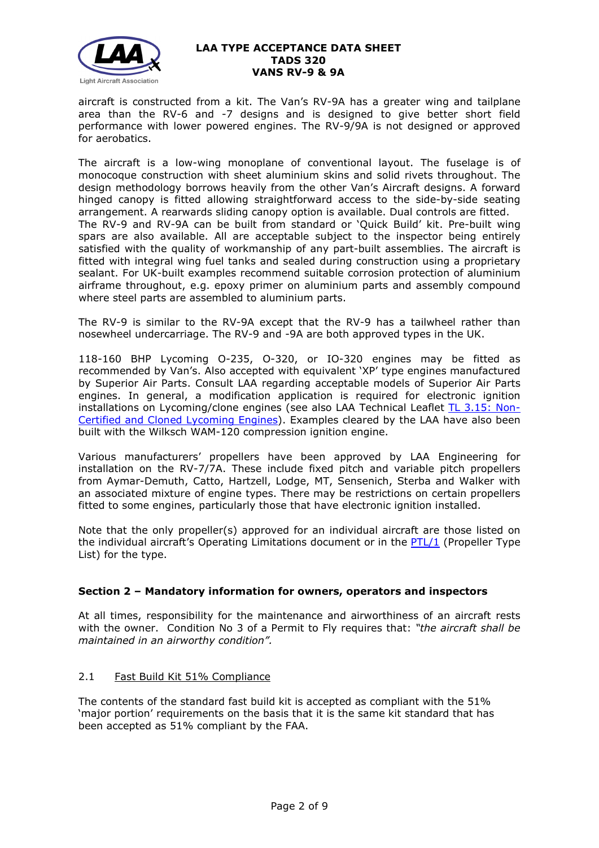

aircraft is constructed from a kit. The Van's RV-9A has a greater wing and tailplane area than the RV-6 and -7 designs and is designed to give better short field performance with lower powered engines. The RV-9/9A is not designed or approved for aerobatics.

The aircraft is a low-wing monoplane of conventional layout. The fuselage is of monocoque construction with sheet aluminium skins and solid rivets throughout. The design methodology borrows heavily from the other Van's Aircraft designs. A forward hinged canopy is fitted allowing straightforward access to the side-by-side seating arrangement. A rearwards sliding canopy option is available. Dual controls are fitted. The RV-9 and RV-9A can be built from standard or 'Quick Build' kit. Pre-built wing spars are also available. All are acceptable subject to the inspector being entirely satisfied with the quality of workmanship of any part-built assemblies. The aircraft is fitted with integral wing fuel tanks and sealed during construction using a proprietary sealant. For UK-built examples recommend suitable corrosion protection of aluminium airframe throughout, e.g. epoxy primer on aluminium parts and assembly compound where steel parts are assembled to aluminium parts.

The RV-9 is similar to the RV-9A except that the RV-9 has a tailwheel rather than nosewheel undercarriage. The RV-9 and -9A are both approved types in the UK.

118-160 BHP Lycoming O-235, O-320, or IO-320 engines may be fitted as recommended by Van's. Also accepted with equivalent 'XP' type engines manufactured by Superior Air Parts. Consult LAA regarding acceptable models of Superior Air Parts engines. In general, a modification application is required for electronic ignition installations on Lycoming/clone engines (see also LAA Technical Leaflet [TL 3.15: Non-](http://www.lightaircraftassociation.co.uk/engineering/TechnicalLeaflets/Mods%20and%20Repairs/TL%203.15%20Non-certified%20Lycoming%20Engines.pdf)[Certified and Cloned](http://www.lightaircraftassociation.co.uk/engineering/TechnicalLeaflets/Mods%20and%20Repairs/TL%203.15%20Non-certified%20Lycoming%20Engines.pdf) Lycoming Engines). Examples cleared by the LAA have also been built with the Wilksch WAM-120 compression ignition engine.

Various manufacturers' propellers have been approved by LAA Engineering for installation on the RV-7/7A. These include fixed pitch and variable pitch propellers from Aymar-Demuth, Catto, Hartzell, Lodge, MT, Sensenich, Sterba and Walker with an associated mixture of engine types. There may be restrictions on certain propellers fitted to some engines, particularly those that have electronic ignition installed.

Note that the only propeller(s) approved for an individual aircraft are those listed on the individual aircraft's Operating Limitations document or in the  $PTL/1$  (Propeller Type List) for the type.

# **Section 2 – Mandatory information for owners, operators and inspectors**

At all times, responsibility for the maintenance and airworthiness of an aircraft rests with the owner. Condition No 3 of a Permit to Fly requires that: *"the aircraft shall be maintained in an airworthy condition".* 

#### 2.1 Fast Build Kit 51% Compliance

The contents of the standard fast build kit is accepted as compliant with the 51% 'major portion' requirements on the basis that it is the same kit standard that has been accepted as 51% compliant by the FAA.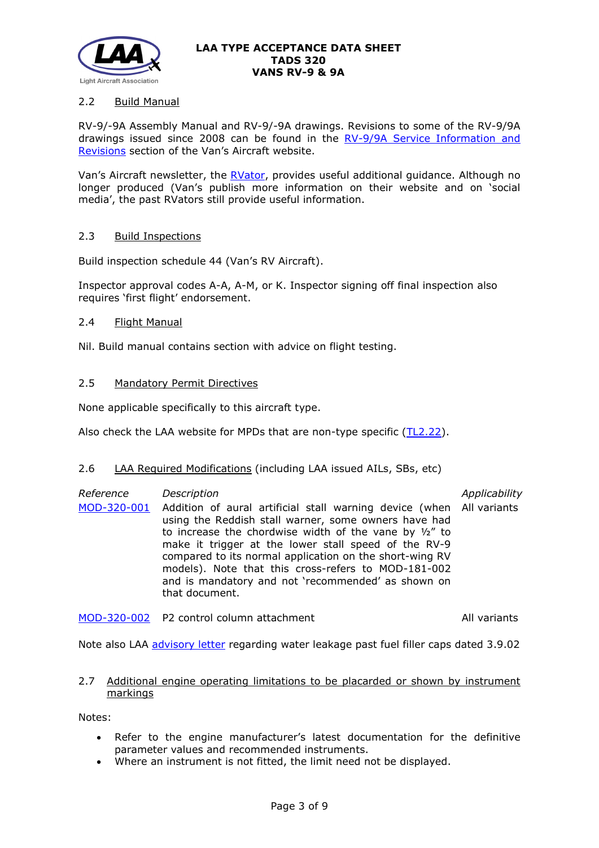

## 2.2 Build Manual

RV-9/-9A Assembly Manual and RV-9/-9A drawings. Revisions to some of the RV-9/9A drawings issued since 2008 can be found in the [RV-9/9A Service Information and](https://www.vansaircraft.com/service-information-and-revisions/?aircraft=rv-9&doctype=all&sort=date)  [Revisions](https://www.vansaircraft.com/service-information-and-revisions/?aircraft=rv-9&doctype=all&sort=date) section of the Van's Aircraft website.

Van's Aircraft newsletter, the [RVator,](https://www.vansaircraft.com/rvator/) provides useful additional guidance. Although no longer produced (Van's publish more information on their website and on 'social media', the past RVators still provide useful information.

#### 2.3 Build Inspections

Build inspection schedule 44 (Van's RV Aircraft).

Inspector approval codes A-A, A-M, or K. Inspector signing off final inspection also requires 'first flight' endorsement.

## 2.4 Flight Manual

Nil. Build manual contains section with advice on flight testing.

## 2.5 Mandatory Permit Directives

None applicable specifically to this aircraft type.

Also check the LAA website for MPDs that are non-type specific [\(TL2.22\)](http://www.lightaircraftassociation.co.uk/engineering/TechnicalLeaflets/Operating%20An%20Aircraft/TL%202.22%20non-type%20specific%20MPDs.pdf).

#### 2.6 LAA Required Modifications (including LAA issued AILs, SBs, etc)

| Reference | Description                                                                                                                                                                                                                                                                                                                                                                                                                                             | Applicability |
|-----------|---------------------------------------------------------------------------------------------------------------------------------------------------------------------------------------------------------------------------------------------------------------------------------------------------------------------------------------------------------------------------------------------------------------------------------------------------------|---------------|
|           | MOD-320-001 Addition of aural artificial stall warning device (when All variants<br>using the Reddish stall warner, some owners have had<br>to increase the chordwise width of the vane by $1/2$ " to<br>make it trigger at the lower stall speed of the RV-9<br>compared to its normal application on the short-wing RV<br>models). Note that this cross-refers to MOD-181-002<br>and is mandatory and not 'recommended' as shown on<br>that document. |               |

[MOD-320-002](http://www.lightaircraftassociation.co.uk/engineering/TADs/320/MOD-320-002.pdf) P2 control column attachment and all variants

Note also LAA [advisory letter](http://www.lightaircraftassociation.co.uk/engineering/TADs/320/VANS%20FILLER%20CAPS.pdf) regarding water leakage past fuel filler caps dated 3.9.02

#### 2.7 Additional engine operating limitations to be placarded or shown by instrument markings

Notes:

- Refer to the engine manufacturer's latest documentation for the definitive parameter values and recommended instruments.
- Where an instrument is not fitted, the limit need not be displayed.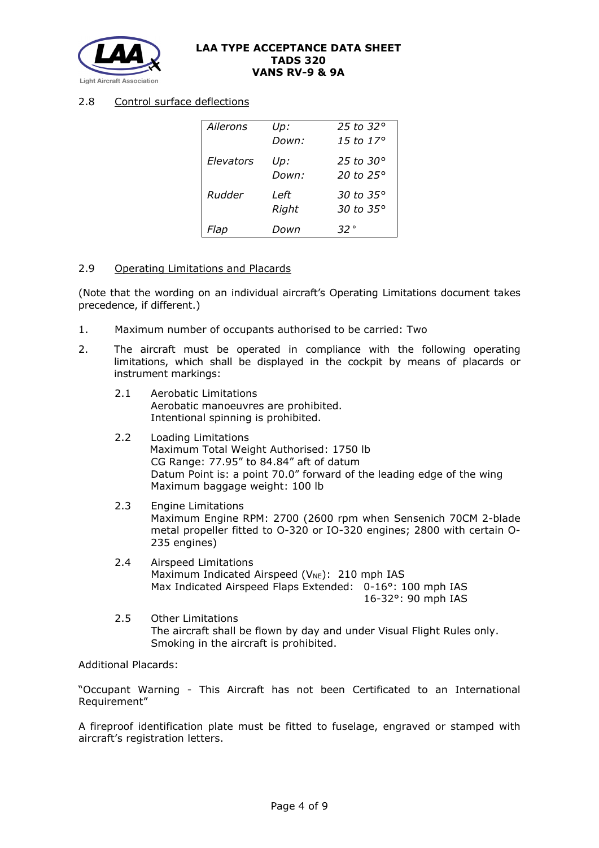

### 2.8 Control surface deflections

| Ailerons  | Up:   | 25 to 32 $\circ$ |
|-----------|-------|------------------|
|           | Down: | 15 to $17^\circ$ |
| Elevators | Up:   | 25 to 30°        |
|           | Down: | 20 to 25°        |
| Rudder    | Left  | 30 to 35°        |
|           | Right | 30 to 35°        |
| Flap      | Down  | .32°             |

#### 2.9 Operating Limitations and Placards

(Note that the wording on an individual aircraft's Operating Limitations document takes precedence, if different.)

- 1. Maximum number of occupants authorised to be carried: Two
- 2. The aircraft must be operated in compliance with the following operating limitations, which shall be displayed in the cockpit by means of placards or instrument markings:
	- 2.1 Aerobatic Limitations Aerobatic manoeuvres are prohibited. Intentional spinning is prohibited.
	- 2.2 Loading Limitations Maximum Total Weight Authorised: 1750 lb CG Range: 77.95" to 84.84" aft of datum Datum Point is: a point 70.0" forward of the leading edge of the wing Maximum baggage weight: 100 lb
	- 2.3 Engine Limitations Maximum Engine RPM: 2700 (2600 rpm when Sensenich 70CM 2-blade metal propeller fitted to O-320 or IO-320 engines; 2800 with certain O-235 engines)
	- 2.4 Airspeed Limitations Maximum Indicated Airspeed ( $V_{NE}$ ): 210 mph IAS Max Indicated Airspeed Flaps Extended: 0-16°: 100 mph IAS 16-32°: 90 mph IAS
	- 2.5 Other Limitations The aircraft shall be flown by day and under Visual Flight Rules only. Smoking in the aircraft is prohibited.

Additional Placards:

"Occupant Warning - This Aircraft has not been Certificated to an International Requirement"

A fireproof identification plate must be fitted to fuselage, engraved or stamped with aircraft's registration letters.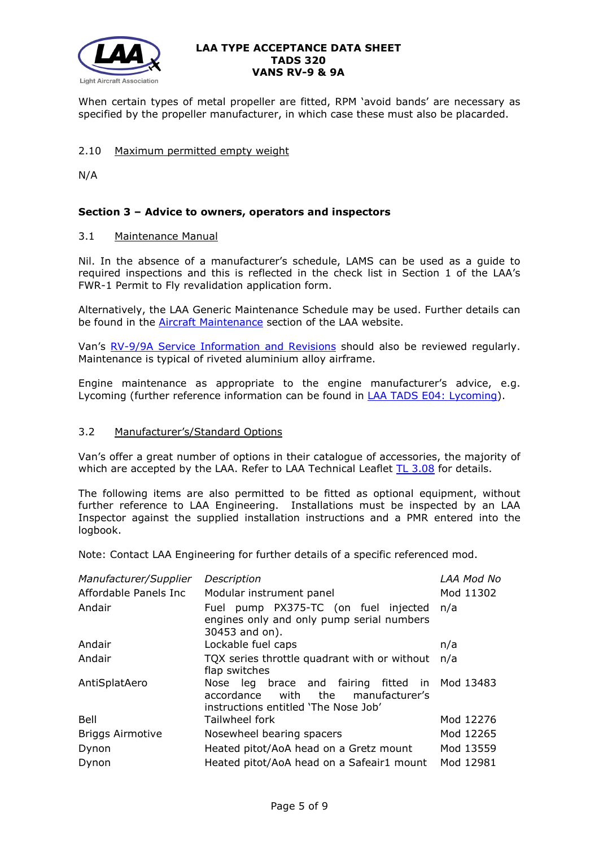

When certain types of metal propeller are fitted, RPM 'avoid bands' are necessary as specified by the propeller manufacturer, in which case these must also be placarded.

## 2.10 Maximum permitted empty weight

N/A

## **Section 3 – Advice to owners, operators and inspectors**

#### 3.1 Maintenance Manual

Nil. In the absence of a manufacturer's schedule, LAMS can be used as a guide to required inspections and this is reflected in the check list in Section 1 of the LAA's FWR-1 Permit to Fly revalidation application form.

Alternatively, the LAA Generic Maintenance Schedule may be used. Further details can be found in the [Aircraft Maintenance](http://www.lightaircraftassociation.co.uk/engineering/Maintenance/Aircraft_Maintenance.html) section of the LAA website.

Van's [RV-9/9A Service Information and Revisions](https://www.vansaircraft.com/service-information-and-revisions/?aircraft=rv-9&doctype=all&sort=date) should also be reviewed regularly. Maintenance is typical of riveted aluminium alloy airframe.

Engine maintenance as appropriate to the engine manufacturer's advice, e.g. Lycoming (further reference information can be found in [LAA TADS E04: Lycoming\)](http://www.lightaircraftassociation.co.uk/engineering/TADs/E04%20LYCOMING.pdf).

#### 3.2 Manufacturer's/Standard Options

Van's offer a great number of options in their catalogue of accessories, the majority of which are accepted by the LAA. Refer to LAA Technical Leaflet [TL 3.08](http://www.lightaircraftassociation.co.uk/engineering/TechnicalLeaflets/Mods%20and%20Repairs/TL%203.08%20Manufacturers%20Options%20for%20Vans%20Aircraft.pdf) for details.

The following items are also permitted to be fitted as optional equipment, without further reference to LAA Engineering. Installations must be inspected by an LAA Inspector against the supplied installation instructions and a PMR entered into the logbook.

Note: Contact LAA Engineering for further details of a specific referenced mod.

| Manufacturer/Supplier   | Description                                                                                                                        | LAA Mod No |
|-------------------------|------------------------------------------------------------------------------------------------------------------------------------|------------|
| Affordable Panels Inc   | Modular instrument panel                                                                                                           | Mod 11302  |
| Andair                  | Fuel pump PX375-TC (on fuel injected<br>engines only and only pump serial numbers<br>30453 and on).                                | n/a        |
| Andair                  | Lockable fuel caps                                                                                                                 | n/a        |
| Andair                  | TQX series throttle quadrant with or without<br>flap switches                                                                      | n/a        |
| AntiSplatAero           | Nose leg brace and fairing fitted in Mod 13483<br>the manufacturer's<br>accordance<br>with<br>instructions entitled 'The Nose Job' |            |
| Bell                    | Tailwheel fork                                                                                                                     | Mod 12276  |
| <b>Briggs Airmotive</b> | Nosewheel bearing spacers                                                                                                          | Mod 12265  |
| Dynon                   | Heated pitot/AoA head on a Gretz mount                                                                                             | Mod 13559  |
| Dynon                   | Heated pitot/AoA head on a Safeair1 mount                                                                                          | Mod 12981  |
|                         |                                                                                                                                    |            |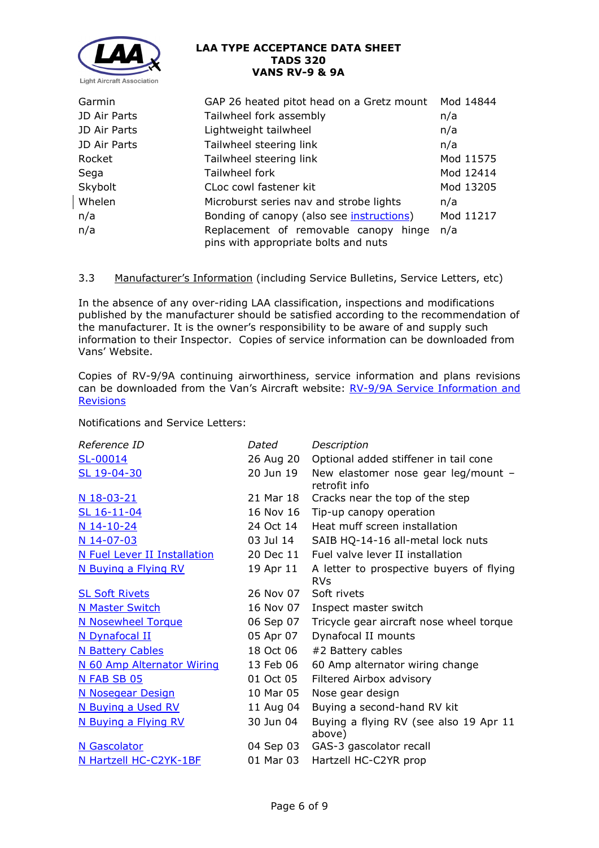

| Garmin       | GAP 26 heated pitot head on a Gretz mount                                     | Mod 14844 |
|--------------|-------------------------------------------------------------------------------|-----------|
| JD Air Parts | Tailwheel fork assembly                                                       | n/a       |
| JD Air Parts | Lightweight tailwheel                                                         | n/a       |
| JD Air Parts | Tailwheel steering link                                                       | n/a       |
| Rocket       | Tailwheel steering link                                                       | Mod 11575 |
| Sega         | Tailwheel fork                                                                | Mod 12414 |
| Skybolt      | CLoc cowl fastener kit                                                        | Mod 13205 |
| Whelen       | Microburst series nav and strobe lights                                       | n/a       |
| n/a          | Bonding of canopy (also see <i>instructions</i> )                             | Mod 11217 |
| n/a          | Replacement of removable canopy hinge<br>pins with appropriate bolts and nuts | n/a       |

## 3.3 Manufacturer's Information (including Service Bulletins, Service Letters, etc)

In the absence of any over-riding LAA classification, inspections and modifications published by the manufacturer should be satisfied according to the recommendation of the manufacturer. It is the owner's responsibility to be aware of and supply such information to their Inspector. Copies of service information can be downloaded from Vans' Website.

Copies of RV-9/9A continuing airworthiness, service information and plans revisions can be downloaded from the Van's Aircraft website: [RV-9/9A Service Information and](https://www.vansaircraft.com/service-information-and-revisions/?aircraft=rv-9&doctype=all&sort=date)  **[Revisions](https://www.vansaircraft.com/service-information-and-revisions/?aircraft=rv-9&doctype=all&sort=date)** 

Notifications and Service Letters:

| Reference ID                 | Dated     | Description                                            |
|------------------------------|-----------|--------------------------------------------------------|
| SL-00014                     | 26 Aug 20 | Optional added stiffener in tail cone                  |
| SL 19-04-30                  | 20 Jun 19 | New elastomer nose gear leg/mount $-$<br>retrofit info |
| N 18-03-21                   | 21 Mar 18 | Cracks near the top of the step                        |
| SL 16-11-04                  | 16 Nov 16 | Tip-up canopy operation                                |
| $N$ 14-10-24                 | 24 Oct 14 | Heat muff screen installation                          |
| N 14-07-03                   | 03 Jul 14 | SAIB HQ-14-16 all-metal lock nuts                      |
| N Fuel Lever II Installation | 20 Dec 11 | Fuel valve lever II installation                       |
| N Buying a Flying RV         | 19 Apr 11 | A letter to prospective buyers of flying<br><b>RVs</b> |
| <b>SL Soft Rivets</b>        | 26 Nov 07 | Soft rivets                                            |
| <b>N Master Switch</b>       | 16 Nov 07 | Inspect master switch                                  |
| <b>N Nosewheel Torque</b>    | 06 Sep 07 | Tricycle gear aircraft nose wheel torque               |
| N Dynafocal II               | 05 Apr 07 | Dynafocal II mounts                                    |
| <b>N Battery Cables</b>      | 18 Oct 06 | #2 Battery cables                                      |
| N 60 Amp Alternator Wiring   | 13 Feb 06 | 60 Amp alternator wiring change                        |
| N FAB SB 05                  | 01 Oct 05 | Filtered Airbox advisory                               |
| <b>N Nosegear Design</b>     | 10 Mar 05 | Nose gear design                                       |
| N Buying a Used RV           | 11 Aug 04 | Buying a second-hand RV kit                            |
| N Buying a Flying RV         | 30 Jun 04 | Buying a flying RV (see also 19 Apr 11<br>above)       |
| N Gascolator                 | 04 Sep 03 | GAS-3 gascolator recall                                |
| N Hartzell HC-C2YK-1BF       | 01 Mar 03 | Hartzell HC-C2YR prop                                  |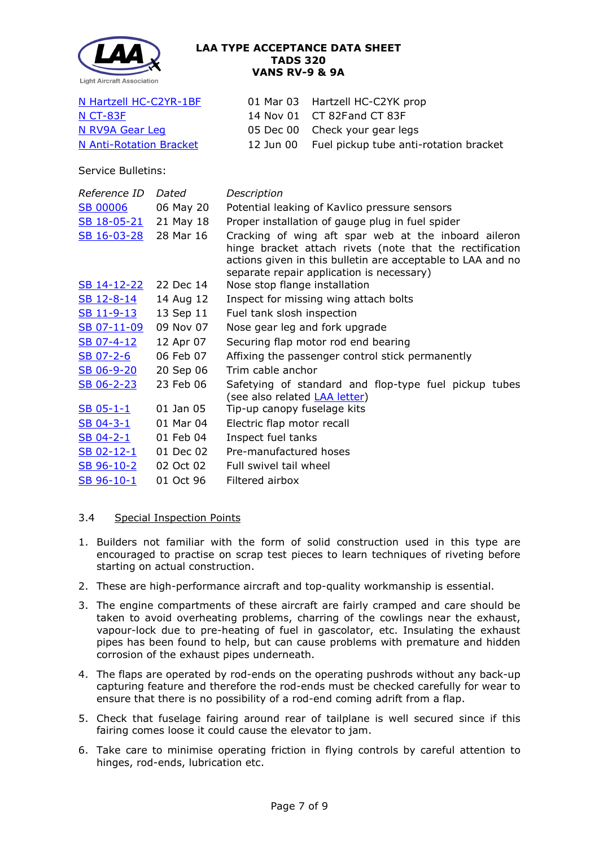

| N Hartzell HC-C2YR-1BF  | 01 Mar 03 Hartzell HC-C2YK prop                  |
|-------------------------|--------------------------------------------------|
| N CT-83F                | 14 Nov 01 CT 82Fand CT 83F                       |
| N RV9A Gear Leg         | 05 Dec 00 Check your gear legs                   |
| N Anti-Rotation Bracket | 12 Jun 00 Fuel pickup tube anti-rotation bracket |

Service Bulletins:

| Reference ID          | Dated     | Description                                                                                                                                                                                                                  |  |  |  |
|-----------------------|-----------|------------------------------------------------------------------------------------------------------------------------------------------------------------------------------------------------------------------------------|--|--|--|
| <b>SB 00006</b>       | 06 May 20 | Potential leaking of Kavlico pressure sensors                                                                                                                                                                                |  |  |  |
| SB 18-05-21 21 May 18 |           | Proper installation of gauge plug in fuel spider                                                                                                                                                                             |  |  |  |
| SB 16-03-28           | 28 Mar 16 | Cracking of wing aft spar web at the inboard aileron<br>hinge bracket attach rivets (note that the rectification<br>actions given in this bulletin are acceptable to LAA and no<br>separate repair application is necessary) |  |  |  |
| <u>SB 14-12-22</u>    | 22 Dec 14 | Nose stop flange installation                                                                                                                                                                                                |  |  |  |
| SB 12-8-14            | 14 Aug 12 | Inspect for missing wing attach bolts                                                                                                                                                                                        |  |  |  |
| <u>SB 11-9-13</u>     | 13 Sep 11 | Fuel tank slosh inspection                                                                                                                                                                                                   |  |  |  |
| SB 07-11-09           | 09 Nov 07 | Nose gear leg and fork upgrade                                                                                                                                                                                               |  |  |  |
| SB 07-4-12            | 12 Apr 07 | Securing flap motor rod end bearing                                                                                                                                                                                          |  |  |  |
| SB 07-2-6             | 06 Feb 07 | Affixing the passenger control stick permanently                                                                                                                                                                             |  |  |  |
| SB 06-9-20            | 20 Sep 06 | Trim cable anchor                                                                                                                                                                                                            |  |  |  |
| SB 06-2-23            | 23 Feb 06 | Safetying of standard and flop-type fuel pickup tubes<br>(see also related <b>LAA letter)</b>                                                                                                                                |  |  |  |
| $SB$ 05-1-1           | 01 Jan 05 | Tip-up canopy fuselage kits                                                                                                                                                                                                  |  |  |  |
| SB 04-3-1             | 01 Mar 04 | Electric flap motor recall                                                                                                                                                                                                   |  |  |  |
| $SB$ 04-2-1           | 01 Feb 04 | Inspect fuel tanks                                                                                                                                                                                                           |  |  |  |
| SB 02-12-1            | 01 Dec 02 | Pre-manufactured hoses                                                                                                                                                                                                       |  |  |  |
| SB 96-10-2            | 02 Oct 02 | Full swivel tail wheel                                                                                                                                                                                                       |  |  |  |
| SB 96-10-1            | 01 Oct 96 | Filtered airbox                                                                                                                                                                                                              |  |  |  |

# 3.4 Special Inspection Points

- 1. Builders not familiar with the form of solid construction used in this type are encouraged to practise on scrap test pieces to learn techniques of riveting before starting on actual construction.
- 2. These are high-performance aircraft and top-quality workmanship is essential.
- 3. The engine compartments of these aircraft are fairly cramped and care should be taken to avoid overheating problems, charring of the cowlings near the exhaust, vapour-lock due to pre-heating of fuel in gascolator, etc. Insulating the exhaust pipes has been found to help, but can cause problems with premature and hidden corrosion of the exhaust pipes underneath.
- 4. The flaps are operated by rod-ends on the operating pushrods without any back-up capturing feature and therefore the rod-ends must be checked carefully for wear to ensure that there is no possibility of a rod-end coming adrift from a flap.
- 5. Check that fuselage fairing around rear of tailplane is well secured since if this fairing comes loose it could cause the elevator to jam.
- 6. Take care to minimise operating friction in flying controls by careful attention to hinges, rod-ends, lubrication etc.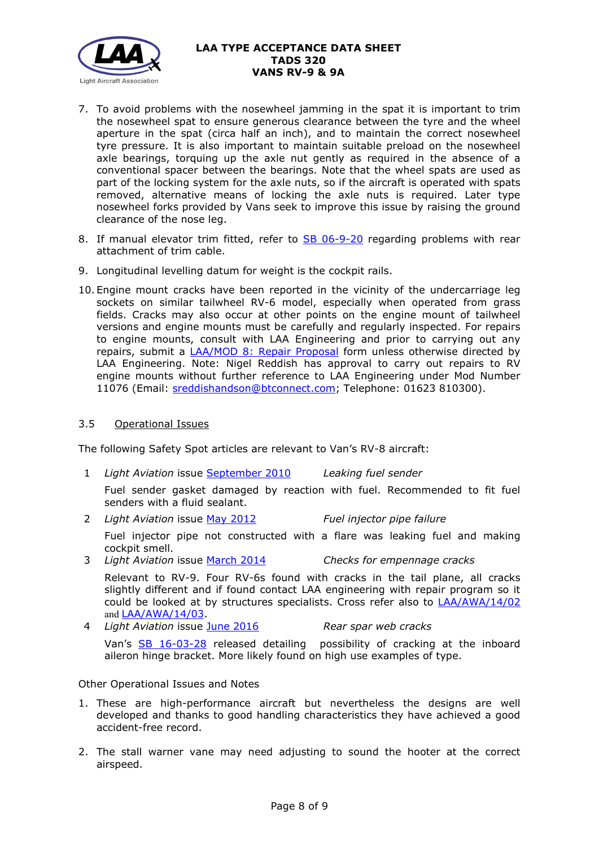

- 7. To avoid problems with the nosewheel jamming in the spat it is important to trim the nosewheel spat to ensure generous clearance between the tyre and the wheel aperture in the spat (circa half an inch), and to maintain the correct nosewheel tyre pressure. It is also important to maintain suitable preload on the nosewheel axle bearings, torquing up the axle nut gently as required in the absence of a conventional spacer between the bearings. Note that the wheel spats are used as part of the locking system for the axle nuts, so if the aircraft is operated with spats removed, alternative means of locking the axle nuts is required. Later type nosewheel forks provided by Vans seek to improve this issue by raising the ground clearance of the nose leg.
- 8. If manual elevator trim fitted, refer to [SB 06-9-20](http://www.lightaircraftassociation.co.uk/engineering/TADs/320/sb06-9-20.pdf) regarding problems with rear attachment of trim cable.
- 9. Longitudinal levelling datum for weight is the cockpit rails.
- 10. Engine mount cracks have been reported in the vicinity of the undercarriage leg sockets on similar tailwheel RV-6 model, especially when operated from grass fields. Cracks may also occur at other points on the engine mount of tailwheel versions and engine mounts must be carefully and regularly inspected. For repairs to engine mounts, consult with LAA Engineering and prior to carrying out any repairs, submit a [LAA/MOD 8: Repair Proposal](http://www.lightaircraftassociation.co.uk/engineering/StandardForms/LAA-MOD%208%20-%20Repair.pdf) form unless otherwise directed by LAA Engineering. Note: Nigel Reddish has approval to carry out repairs to RV engine mounts without further reference to LAA Engineering under Mod Number 11076 (Email: [sreddishandson@btconnect.com;](mailto:sreddishandson@btconnect.com) Telephone: 01623 810300).

### 3.5 Operational Issues

The following Safety Spot articles are relevant to Van's RV-8 aircraft:

- 1 *Light Aviation* issue [September 2010](http://www.lightaircraftassociation.co.uk/2010/Magazine/2010/Sep/Safety.pdf) *Leaking fuel sender* Fuel sender gasket damaged by reaction with fuel. Recommended to fit fuel senders with a fluid sealant.
- 2 *Light Aviation* issue May [2012](http://www.lightaircraftassociation.co.uk/2012/Magazine/May/Safety%20Spot.pdf) *Fuel injector pipe failure*

Fuel injector pipe not constructed with a flare was leaking fuel and making cockpit smell.

3 *Light Aviation* issue [March 2014](http://www.lightaircraftassociation.co.uk/2014/Mag/Mar/safetyspot_mar.pdf) *Checks for empennage cracks*

Relevant to RV-9. Four RV-6s found with cracks in the tail plane, all cracks slightly different and if found contact LAA engineering with repair program so it could be looked at by structures specialists. Cross refer also to [LAA/AWA/14/02](http://www.lightaircraftassociation.co.uk/MM/LAA%20AWA%2014%2002.pdf) and [LAA/AWA/14/03.](http://www.lightaircraftassociation.co.uk/MM/LAA%20AWA%2014%2003.pdf)

4 *Light Aviation* issue [June 2016](http://www.lightaircraftassociation.co.uk/2016/Magazine/June/safety_spot.pdf) *Rear spar web cracks* Van's [SB 16-03-28](https://lightaircraftassociation.co.uk/Engineering/s/TADS/323/sb16-03-28.pdf) released detailing possibility of cracking at the inboard aileron hinge bracket. More likely found on high use examples of type.

Other Operational Issues and Notes

- 1. These are high-performance aircraft but nevertheless the designs are well developed and thanks to good handling characteristics they have achieved a good accident-free record.
- 2. The stall warner vane may need adjusting to sound the hooter at the correct airspeed.